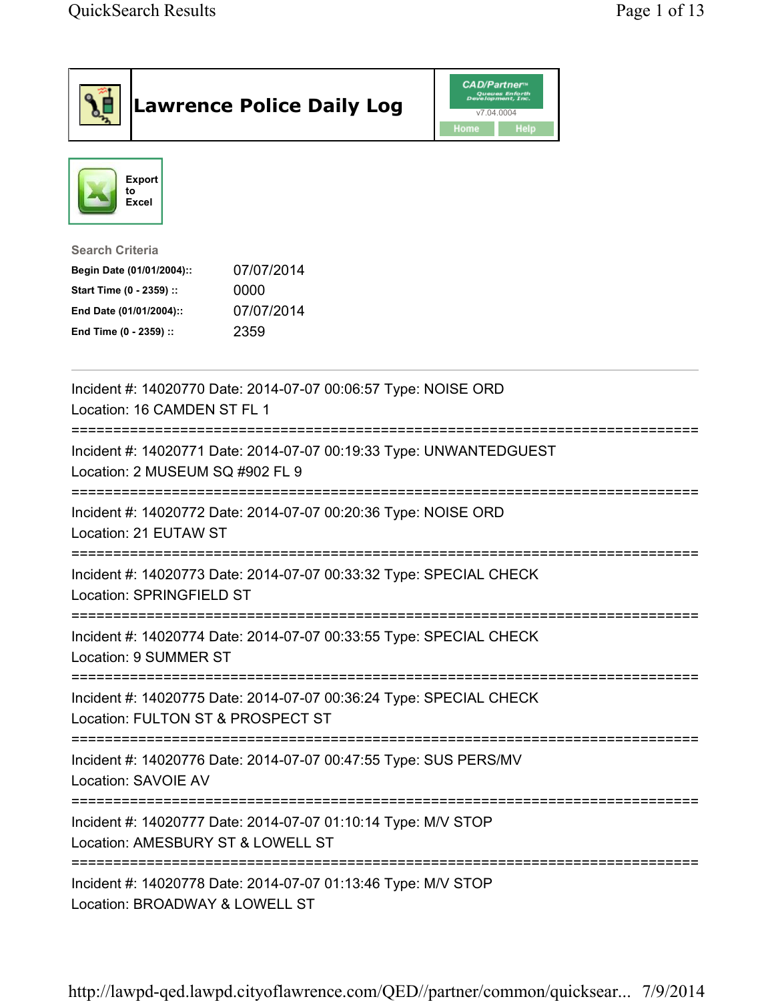| <b>Lawrence Police Daily Log</b>                                                                                                                                                 | <b>CAD/Partner</b> "<br>Queues Enforth<br>Development, Inc.<br>v7.04.0004<br>Home<br><b>Help</b> |
|----------------------------------------------------------------------------------------------------------------------------------------------------------------------------------|--------------------------------------------------------------------------------------------------|
| <b>Export</b><br>to<br><b>Excel</b>                                                                                                                                              |                                                                                                  |
| <b>Search Criteria</b><br>07/07/2014<br>Begin Date (01/01/2004)::<br>Start Time (0 - 2359) ::<br>0000<br>07/07/2014<br>End Date (01/01/2004)::<br>2359<br>End Time (0 - 2359) :: |                                                                                                  |
| Incident #: 14020770 Date: 2014-07-07 00:06:57 Type: NOISE ORD<br>Location: 16 CAMDEN ST FL 1                                                                                    |                                                                                                  |
| Incident #: 14020771 Date: 2014-07-07 00:19:33 Type: UNWANTEDGUEST<br>Location: 2 MUSEUM SQ #902 FL 9                                                                            |                                                                                                  |
| Incident #: 14020772 Date: 2014-07-07 00:20:36 Type: NOISE ORD<br>Location: 21 EUTAW ST                                                                                          |                                                                                                  |
| Incident #: 14020773 Date: 2014-07-07 00:33:32 Type: SPECIAL CHECK<br>Location: SPRINGFIELD ST                                                                                   |                                                                                                  |
| Incident #: 14020774 Date: 2014-07-07 00:33:55 Type: SPECIAL CHECK<br>Location: 9 SUMMER ST                                                                                      |                                                                                                  |
| Incident #: 14020775 Date: 2014-07-07 00:36:24 Type: SPECIAL CHECK<br>Location: FULTON ST & PROSPECT ST                                                                          |                                                                                                  |
| Incident #: 14020776 Date: 2014-07-07 00:47:55 Type: SUS PERS/MV<br>Location: SAVOIE AV                                                                                          |                                                                                                  |
| Incident #: 14020777 Date: 2014-07-07 01:10:14 Type: M/V STOP<br>Location: AMESBURY ST & LOWELL ST                                                                               |                                                                                                  |
| Incident #: 14020778 Date: 2014-07-07 01:13:46 Type: M/V STOP<br>Location: BROADWAY & LOWELL ST                                                                                  |                                                                                                  |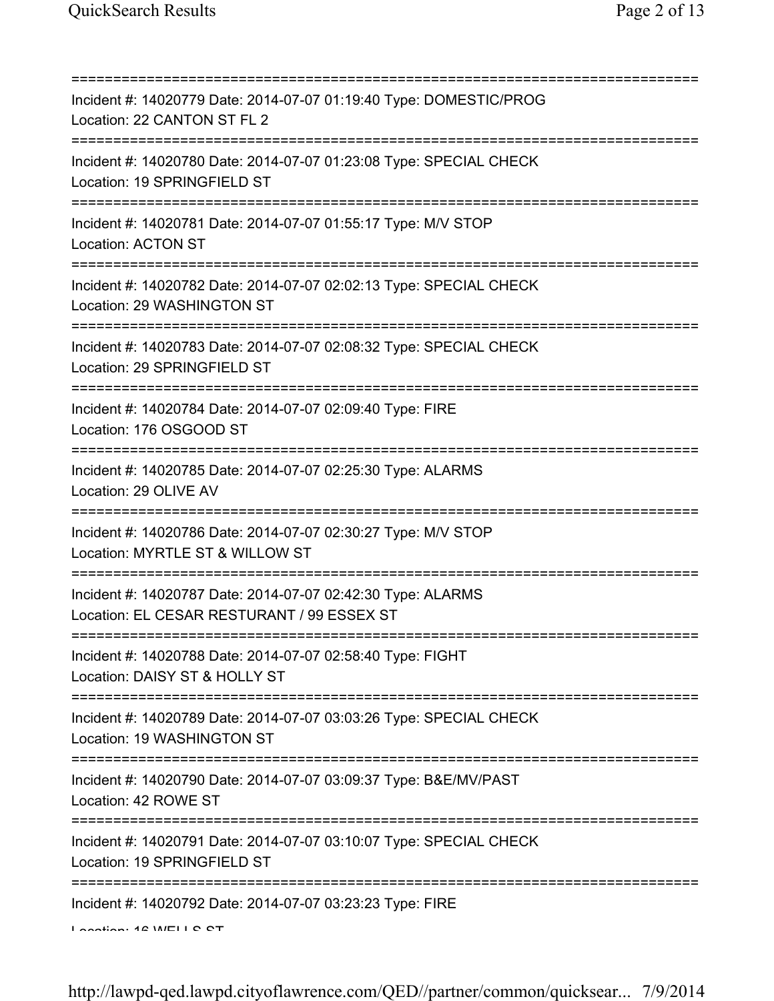=========================================================================== Incident #: 14020779 Date: 2014-07-07 01:19:40 Type: DOMESTIC/PROG Location: 22 CANTON ST FL 2 =========================================================================== Incident #: 14020780 Date: 2014-07-07 01:23:08 Type: SPECIAL CHECK Location: 19 SPRINGFIELD ST =========================================================================== Incident #: 14020781 Date: 2014-07-07 01:55:17 Type: M/V STOP Location: ACTON ST =========================================================================== Incident #: 14020782 Date: 2014-07-07 02:02:13 Type: SPECIAL CHECK Location: 29 WASHINGTON ST =========================================================================== Incident #: 14020783 Date: 2014-07-07 02:08:32 Type: SPECIAL CHECK Location: 29 SPRINGFIELD ST =========================================================================== Incident #: 14020784 Date: 2014-07-07 02:09:40 Type: FIRE Location: 176 OSGOOD ST =========================================================================== Incident #: 14020785 Date: 2014-07-07 02:25:30 Type: ALARMS Location: 29 OLIVE AV =========================================================================== Incident #: 14020786 Date: 2014-07-07 02:30:27 Type: M/V STOP Location: MYRTLE ST & WILLOW ST =========================================================================== Incident #: 14020787 Date: 2014-07-07 02:42:30 Type: ALARMS Location: EL CESAR RESTURANT / 99 ESSEX ST =========================================================================== Incident #: 14020788 Date: 2014-07-07 02:58:40 Type: FIGHT Location: DAISY ST & HOLLY ST =========================================================================== Incident #: 14020789 Date: 2014-07-07 03:03:26 Type: SPECIAL CHECK Location: 19 WASHINGTON ST =========================================================================== Incident #: 14020790 Date: 2014-07-07 03:09:37 Type: B&E/MV/PAST Location: 42 ROWE ST =========================================================================== Incident #: 14020791 Date: 2014-07-07 03:10:07 Type: SPECIAL CHECK Location: 19 SPRINGFIELD ST =========================================================================== Incident #: 14020792 Date: 2014-07-07 03:23:23 Type: FIRE Location: 16 WELLS ST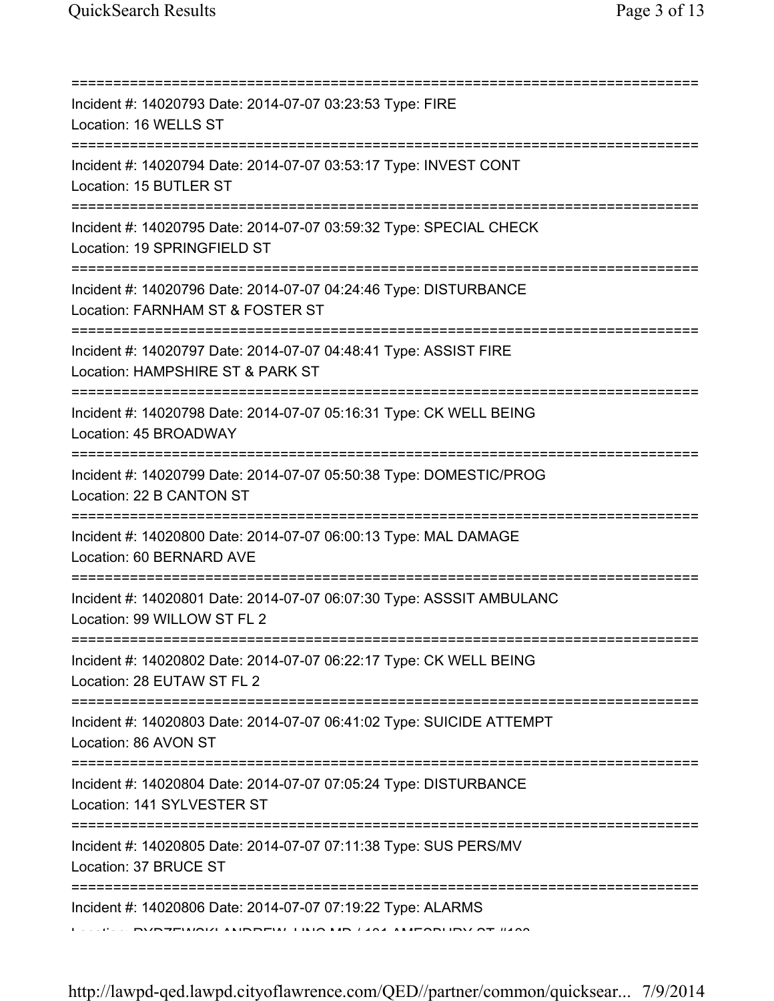| Incident #: 14020793 Date: 2014-07-07 03:23:53 Type: FIRE<br>Location: 16 WELLS ST                   |
|------------------------------------------------------------------------------------------------------|
| Incident #: 14020794 Date: 2014-07-07 03:53:17 Type: INVEST CONT<br>Location: 15 BUTLER ST           |
| Incident #: 14020795 Date: 2014-07-07 03:59:32 Type: SPECIAL CHECK<br>Location: 19 SPRINGFIELD ST    |
| Incident #: 14020796 Date: 2014-07-07 04:24:46 Type: DISTURBANCE<br>Location: FARNHAM ST & FOSTER ST |
| Incident #: 14020797 Date: 2014-07-07 04:48:41 Type: ASSIST FIRE<br>Location: HAMPSHIRE ST & PARK ST |
| Incident #: 14020798 Date: 2014-07-07 05:16:31 Type: CK WELL BEING<br>Location: 45 BROADWAY          |
| Incident #: 14020799 Date: 2014-07-07 05:50:38 Type: DOMESTIC/PROG<br>Location: 22 B CANTON ST       |
| Incident #: 14020800 Date: 2014-07-07 06:00:13 Type: MAL DAMAGE<br>Location: 60 BERNARD AVE          |
| Incident #: 14020801 Date: 2014-07-07 06:07:30 Type: ASSSIT AMBULANC<br>Location: 99 WILLOW ST FL 2  |
| Incident #: 14020802 Date: 2014-07-07 06:22:17 Type: CK WELL BEING<br>Location: 28 EUTAW ST FL 2     |
| Incident #: 14020803 Date: 2014-07-07 06:41:02 Type: SUICIDE ATTEMPT<br>Location: 86 AVON ST         |
| Incident #: 14020804 Date: 2014-07-07 07:05:24 Type: DISTURBANCE<br>Location: 141 SYLVESTER ST       |
| Incident #: 14020805 Date: 2014-07-07 07:11:38 Type: SUS PERS/MV<br>Location: 37 BRUCE ST            |
| Incident #: 14020806 Date: 2014-07-07 07:19:22 Type: ALARMS                                          |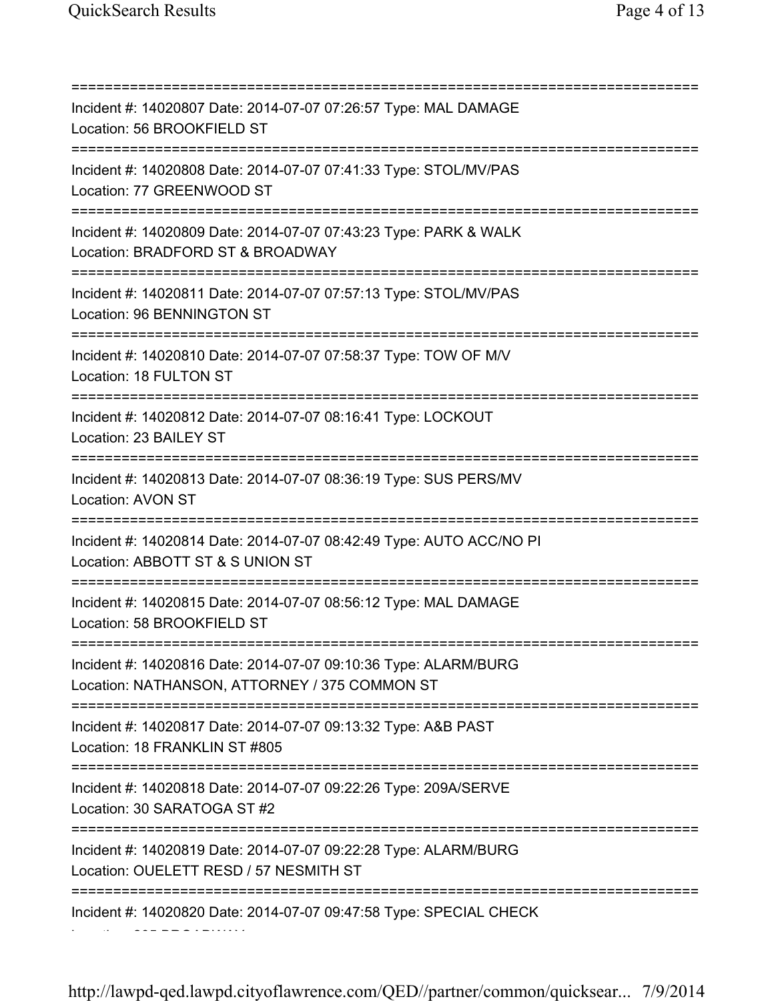=========================================================================== Incident #: 14020807 Date: 2014-07-07 07:26:57 Type: MAL DAMAGE Location: 56 BROOKFIELD ST =========================================================================== Incident #: 14020808 Date: 2014-07-07 07:41:33 Type: STOL/MV/PAS Location: 77 GREENWOOD ST =========================================================================== Incident #: 14020809 Date: 2014-07-07 07:43:23 Type: PARK & WALK Location: BRADFORD ST & BROADWAY =========================================================================== Incident #: 14020811 Date: 2014-07-07 07:57:13 Type: STOL/MV/PAS Location: 96 BENNINGTON ST =========================================================================== Incident #: 14020810 Date: 2014-07-07 07:58:37 Type: TOW OF M/V Location: 18 FULTON ST =========================================================================== Incident #: 14020812 Date: 2014-07-07 08:16:41 Type: LOCKOUT Location: 23 BAILEY ST =========================================================================== Incident #: 14020813 Date: 2014-07-07 08:36:19 Type: SUS PERS/MV Location: AVON ST =========================================================================== Incident #: 14020814 Date: 2014-07-07 08:42:49 Type: AUTO ACC/NO PI Location: ABBOTT ST & S UNION ST =========================================================================== Incident #: 14020815 Date: 2014-07-07 08:56:12 Type: MAL DAMAGE Location: 58 BROOKFIELD ST =========================================================================== Incident #: 14020816 Date: 2014-07-07 09:10:36 Type: ALARM/BURG Location: NATHANSON, ATTORNEY / 375 COMMON ST =========================================================================== Incident #: 14020817 Date: 2014-07-07 09:13:32 Type: A&B PAST Location: 18 FRANKLIN ST #805 =========================================================================== Incident #: 14020818 Date: 2014-07-07 09:22:26 Type: 209A/SERVE Location: 30 SARATOGA ST #2 =========================================================================== Incident #: 14020819 Date: 2014-07-07 09:22:28 Type: ALARM/BURG Location: OUELETT RESD / 57 NESMITH ST =========================================================================== Incident #: 14020820 Date: 2014-07-07 09:47:58 Type: SPECIAL CHECK Location: 205 BROADWAY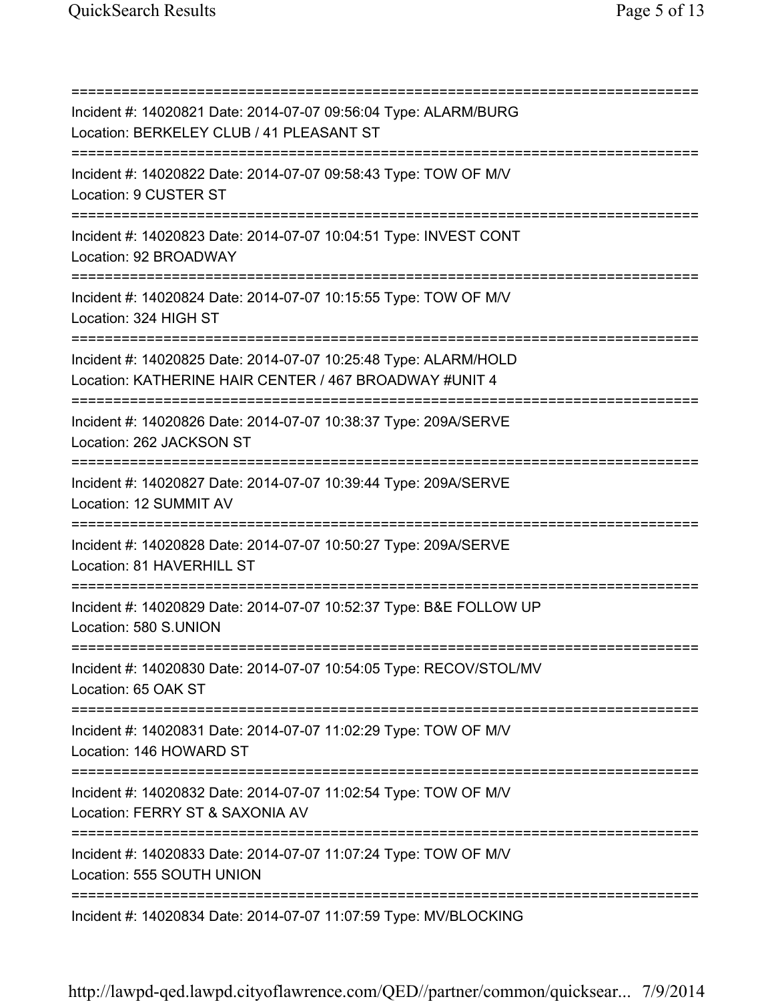=========================================================================== Incident #: 14020821 Date: 2014-07-07 09:56:04 Type: ALARM/BURG Location: BERKELEY CLUB / 41 PLEASANT ST =========================================================================== Incident #: 14020822 Date: 2014-07-07 09:58:43 Type: TOW OF M/V Location: 9 CUSTER ST =========================================================================== Incident #: 14020823 Date: 2014-07-07 10:04:51 Type: INVEST CONT Location: 92 BROADWAY =========================================================================== Incident #: 14020824 Date: 2014-07-07 10:15:55 Type: TOW OF M/V Location: 324 HIGH ST =========================================================================== Incident #: 14020825 Date: 2014-07-07 10:25:48 Type: ALARM/HOLD Location: KATHERINE HAIR CENTER / 467 BROADWAY #UNIT 4 =========================================================================== Incident #: 14020826 Date: 2014-07-07 10:38:37 Type: 209A/SERVE Location: 262 JACKSON ST =========================================================================== Incident #: 14020827 Date: 2014-07-07 10:39:44 Type: 209A/SERVE Location: 12 SUMMIT AV =========================================================================== Incident #: 14020828 Date: 2014-07-07 10:50:27 Type: 209A/SERVE Location: 81 HAVERHILL ST =========================================================================== Incident #: 14020829 Date: 2014-07-07 10:52:37 Type: B&E FOLLOW UP Location: 580 S.UNION =========================================================================== Incident #: 14020830 Date: 2014-07-07 10:54:05 Type: RECOV/STOL/MV Location: 65 OAK ST =========================================================================== Incident #: 14020831 Date: 2014-07-07 11:02:29 Type: TOW OF M/V Location: 146 HOWARD ST =========================================================================== Incident #: 14020832 Date: 2014-07-07 11:02:54 Type: TOW OF M/V Location: FERRY ST & SAXONIA AV =========================================================================== Incident #: 14020833 Date: 2014-07-07 11:07:24 Type: TOW OF M/V Location: 555 SOUTH UNION =========================================================================== Incident #: 14020834 Date: 2014-07-07 11:07:59 Type: MV/BLOCKING

http://lawpd-qed.lawpd.cityoflawrence.com/QED//partner/common/quicksear... 7/9/2014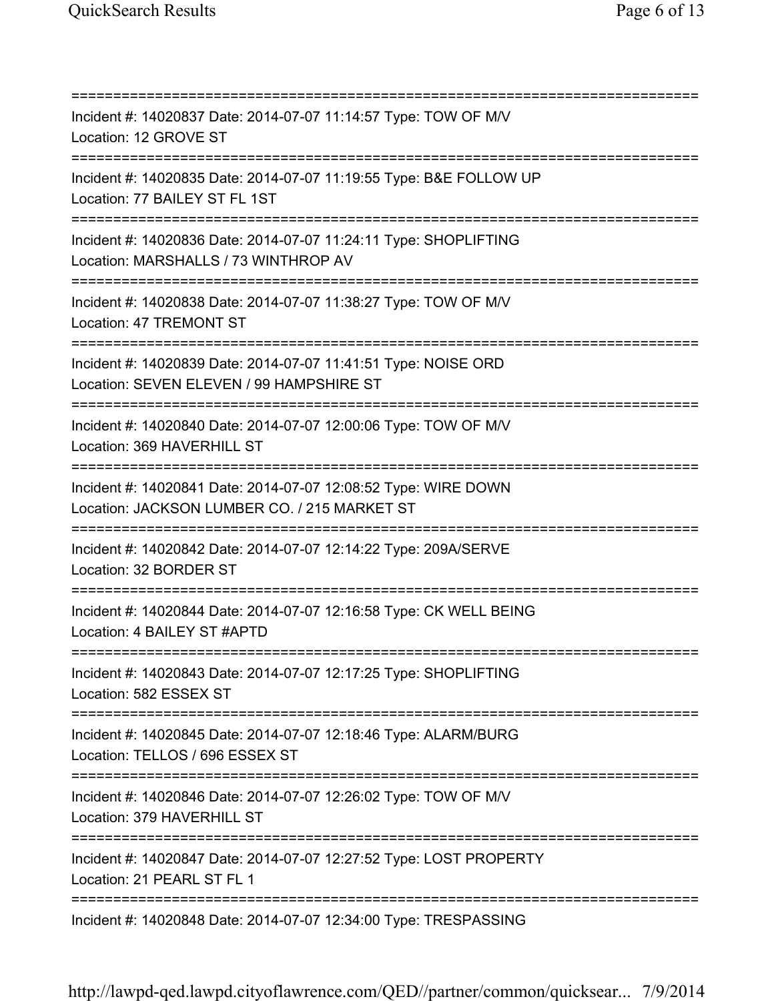=========================================================================== Incident #: 14020837 Date: 2014-07-07 11:14:57 Type: TOW OF M/V Location: 12 GROVE ST =========================================================================== Incident #: 14020835 Date: 2014-07-07 11:19:55 Type: B&E FOLLOW UP Location: 77 BAILEY ST FL 1ST =========================================================================== Incident #: 14020836 Date: 2014-07-07 11:24:11 Type: SHOPLIFTING Location: MARSHALLS / 73 WINTHROP AV =========================================================================== Incident #: 14020838 Date: 2014-07-07 11:38:27 Type: TOW OF M/V Location: 47 TREMONT ST =========================================================================== Incident #: 14020839 Date: 2014-07-07 11:41:51 Type: NOISE ORD Location: SEVEN ELEVEN / 99 HAMPSHIRE ST =========================================================================== Incident #: 14020840 Date: 2014-07-07 12:00:06 Type: TOW OF M/V Location: 369 HAVERHILL ST =========================================================================== Incident #: 14020841 Date: 2014-07-07 12:08:52 Type: WIRE DOWN Location: JACKSON LUMBER CO. / 215 MARKET ST =========================================================================== Incident #: 14020842 Date: 2014-07-07 12:14:22 Type: 209A/SERVE Location: 32 BORDER ST =========================================================================== Incident #: 14020844 Date: 2014-07-07 12:16:58 Type: CK WELL BEING Location: 4 BAILEY ST #APTD =========================================================================== Incident #: 14020843 Date: 2014-07-07 12:17:25 Type: SHOPLIFTING Location: 582 ESSEX ST =========================================================================== Incident #: 14020845 Date: 2014-07-07 12:18:46 Type: ALARM/BURG Location: TELLOS / 696 ESSEX ST =========================================================================== Incident #: 14020846 Date: 2014-07-07 12:26:02 Type: TOW OF M/V Location: 379 HAVERHILL ST =========================================================================== Incident #: 14020847 Date: 2014-07-07 12:27:52 Type: LOST PROPERTY Location: 21 PEARL ST FL 1 =========================================================================== Incident #: 14020848 Date: 2014-07-07 12:34:00 Type: TRESPASSING

http://lawpd-qed.lawpd.cityoflawrence.com/QED//partner/common/quicksear... 7/9/2014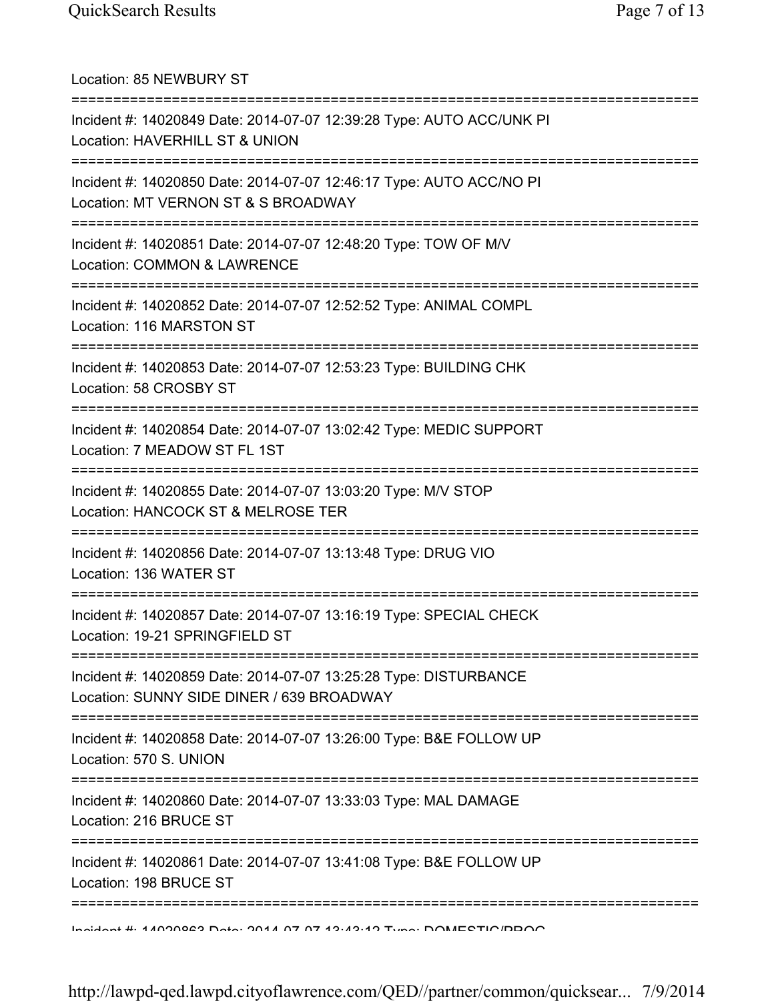| Location: 85 NEWBURY ST                                                                                              |
|----------------------------------------------------------------------------------------------------------------------|
| Incident #: 14020849 Date: 2014-07-07 12:39:28 Type: AUTO ACC/UNK PI<br>Location: HAVERHILL ST & UNION               |
| Incident #: 14020850 Date: 2014-07-07 12:46:17 Type: AUTO ACC/NO PI<br>Location: MT VERNON ST & S BROADWAY           |
| Incident #: 14020851 Date: 2014-07-07 12:48:20 Type: TOW OF M/V<br>Location: COMMON & LAWRENCE<br>------------------ |
| Incident #: 14020852 Date: 2014-07-07 12:52:52 Type: ANIMAL COMPL<br>Location: 116 MARSTON ST                        |
| Incident #: 14020853 Date: 2014-07-07 12:53:23 Type: BUILDING CHK<br>Location: 58 CROSBY ST                          |
| Incident #: 14020854 Date: 2014-07-07 13:02:42 Type: MEDIC SUPPORT<br>Location: 7 MEADOW ST FL 1ST                   |
| Incident #: 14020855 Date: 2014-07-07 13:03:20 Type: M/V STOP<br>Location: HANCOCK ST & MELROSE TER                  |
| Incident #: 14020856 Date: 2014-07-07 13:13:48 Type: DRUG VIO<br>Location: 136 WATER ST                              |
| Incident #: 14020857 Date: 2014-07-07 13:16:19 Type: SPECIAL CHECK<br>Location: 19-21 SPRINGFIELD ST                 |
| Incident #: 14020859 Date: 2014-07-07 13:25:28 Type: DISTURBANCE<br>Location: SUNNY SIDE DINER / 639 BROADWAY        |
| Incident #: 14020858 Date: 2014-07-07 13:26:00 Type: B&E FOLLOW UP<br>Location: 570 S. UNION                         |
| Incident #: 14020860 Date: 2014-07-07 13:33:03 Type: MAL DAMAGE<br>Location: 216 BRUCE ST                            |
| Incident #: 14020861 Date: 2014-07-07 13:41:08 Type: B&E FOLLOW UP<br>Location: 198 BRUCE ST                         |
| <u>Indident #: 4 4000000 Data: 0044 07 07 49:49:49 Tune: DOMECTIO/DDOO</u>                                           |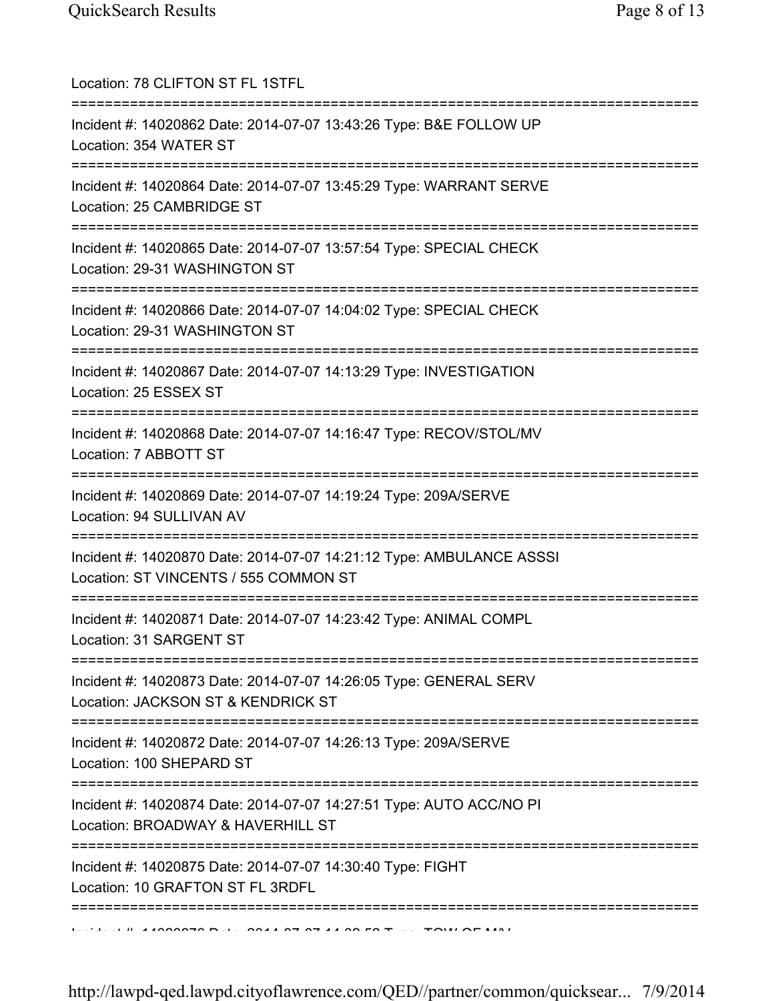| Location: 78 CLIFTON ST FL 1STFL                                                                                                      |
|---------------------------------------------------------------------------------------------------------------------------------------|
| Incident #: 14020862 Date: 2014-07-07 13:43:26 Type: B&E FOLLOW UP<br>Location: 354 WATER ST<br>===================================== |
| Incident #: 14020864 Date: 2014-07-07 13:45:29 Type: WARRANT SERVE<br>Location: 25 CAMBRIDGE ST                                       |
| Incident #: 14020865 Date: 2014-07-07 13:57:54 Type: SPECIAL CHECK<br>Location: 29-31 WASHINGTON ST                                   |
| Incident #: 14020866 Date: 2014-07-07 14:04:02 Type: SPECIAL CHECK<br>Location: 29-31 WASHINGTON ST                                   |
| ===============<br>=============<br>Incident #: 14020867 Date: 2014-07-07 14:13:29 Type: INVESTIGATION<br>Location: 25 ESSEX ST       |
| Incident #: 14020868 Date: 2014-07-07 14:16:47 Type: RECOV/STOL/MV<br>Location: 7 ABBOTT ST                                           |
| Incident #: 14020869 Date: 2014-07-07 14:19:24 Type: 209A/SERVE<br>Location: 94 SULLIVAN AV<br>;====================================  |
| Incident #: 14020870 Date: 2014-07-07 14:21:12 Type: AMBULANCE ASSSI<br>Location: ST VINCENTS / 555 COMMON ST                         |
| Incident #: 14020871 Date: 2014-07-07 14:23:42 Type: ANIMAL COMPL<br>Location: 31 SARGENT ST                                          |
| Incident #: 14020873 Date: 2014-07-07 14:26:05 Type: GENERAL SERV<br>Location: JACKSON ST & KENDRICK ST                               |
| :===============<br>Incident #: 14020872 Date: 2014-07-07 14:26:13 Type: 209A/SERVE<br>Location: 100 SHEPARD ST                       |
| Incident #: 14020874 Date: 2014-07-07 14:27:51 Type: AUTO ACC/NO PI<br>Location: BROADWAY & HAVERHILL ST                              |
| Incident #: 14020875 Date: 2014-07-07 14:30:40 Type: FIGHT<br>Location: 10 GRAFTON ST FL 3RDFL                                        |
|                                                                                                                                       |

 $I_{\text{eff}}$  is the 4.4000070 Date: 004.4.07.07.4.4.00 FO Texter: TOW OF MALE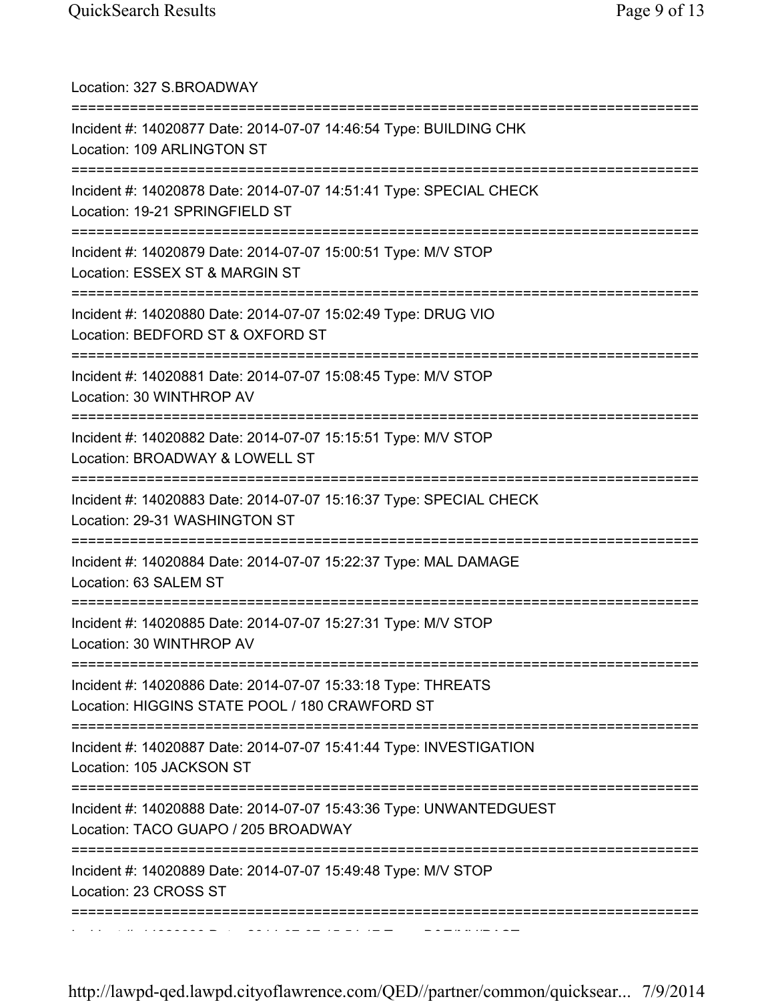| Location: 327 S.BROADWAY<br>====================================                                                                               |
|------------------------------------------------------------------------------------------------------------------------------------------------|
| Incident #: 14020877 Date: 2014-07-07 14:46:54 Type: BUILDING CHK<br>Location: 109 ARLINGTON ST                                                |
| Incident #: 14020878 Date: 2014-07-07 14:51:41 Type: SPECIAL CHECK<br>Location: 19-21 SPRINGFIELD ST<br>====================================== |
| Incident #: 14020879 Date: 2014-07-07 15:00:51 Type: M/V STOP<br>Location: ESSEX ST & MARGIN ST                                                |
| Incident #: 14020880 Date: 2014-07-07 15:02:49 Type: DRUG VIO<br>Location: BEDFORD ST & OXFORD ST                                              |
| ======================<br>===============<br>Incident #: 14020881 Date: 2014-07-07 15:08:45 Type: M/V STOP<br>Location: 30 WINTHROP AV         |
| Incident #: 14020882 Date: 2014-07-07 15:15:51 Type: M/V STOP<br>Location: BROADWAY & LOWELL ST                                                |
| Incident #: 14020883 Date: 2014-07-07 15:16:37 Type: SPECIAL CHECK<br>Location: 29-31 WASHINGTON ST                                            |
| ===========<br>Incident #: 14020884 Date: 2014-07-07 15:22:37 Type: MAL DAMAGE<br>Location: 63 SALEM ST                                        |
| Incident #: 14020885 Date: 2014-07-07 15:27:31 Type: M/V STOP<br>Location: 30 WINTHROP AV                                                      |
| Incident #: 14020886 Date: 2014-07-07 15:33:18 Type: THREATS<br>Location: HIGGINS STATE POOL / 180 CRAWFORD ST                                 |
| Incident #: 14020887 Date: 2014-07-07 15:41:44 Type: INVESTIGATION<br>Location: 105 JACKSON ST                                                 |
| =============<br>Incident #: 14020888 Date: 2014-07-07 15:43:36 Type: UNWANTEDGUEST<br>Location: TACO GUAPO / 205 BROADWAY                     |
| Incident #: 14020889 Date: 2014-07-07 15:49:48 Type: M/V STOP<br>Location: 23 CROSS ST                                                         |
| ====================                                                                                                                           |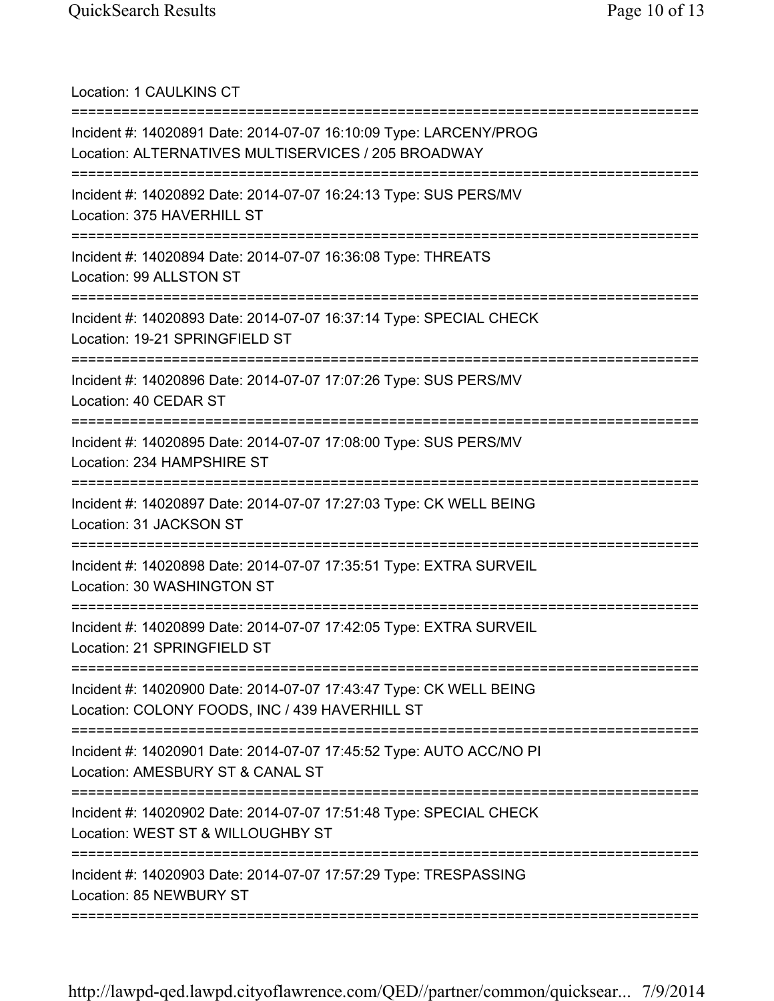Location: 1 CAULKINS CT ===========================================================================

Incident #: 14020891 Date: 2014-07-07 16:10:09 Type: LARCENY/PROG Location: ALTERNATIVES MULTISERVICES / 205 BROADWAY =========================================================================== Incident #: 14020892 Date: 2014-07-07 16:24:13 Type: SUS PERS/MV Location: 375 HAVERHILL ST =========================================================================== Incident #: 14020894 Date: 2014-07-07 16:36:08 Type: THREATS Location: 99 ALLSTON ST =========================================================================== Incident #: 14020893 Date: 2014-07-07 16:37:14 Type: SPECIAL CHECK Location: 19-21 SPRINGFIELD ST =========================================================================== Incident #: 14020896 Date: 2014-07-07 17:07:26 Type: SUS PERS/MV Location: 40 CEDAR ST =========================================================================== Incident #: 14020895 Date: 2014-07-07 17:08:00 Type: SUS PERS/MV Location: 234 HAMPSHIRE ST =========================================================================== Incident #: 14020897 Date: 2014-07-07 17:27:03 Type: CK WELL BEING Location: 31 JACKSON ST =========================================================================== Incident #: 14020898 Date: 2014-07-07 17:35:51 Type: EXTRA SURVEIL Location: 30 WASHINGTON ST =========================================================================== Incident #: 14020899 Date: 2014-07-07 17:42:05 Type: EXTRA SURVEIL Location: 21 SPRINGFIELD ST =========================================================================== Incident #: 14020900 Date: 2014-07-07 17:43:47 Type: CK WELL BEING Location: COLONY FOODS, INC / 439 HAVERHILL ST =========================================================================== Incident #: 14020901 Date: 2014-07-07 17:45:52 Type: AUTO ACC/NO PI Location: AMESBURY ST & CANAL ST =========================================================================== Incident #: 14020902 Date: 2014-07-07 17:51:48 Type: SPECIAL CHECK Location: WEST ST & WILLOUGHBY ST =========================================================================== Incident #: 14020903 Date: 2014-07-07 17:57:29 Type: TRESPASSING Location: 85 NEWBURY ST ===========================================================================

http://lawpd-qed.lawpd.cityoflawrence.com/QED//partner/common/quicksear... 7/9/2014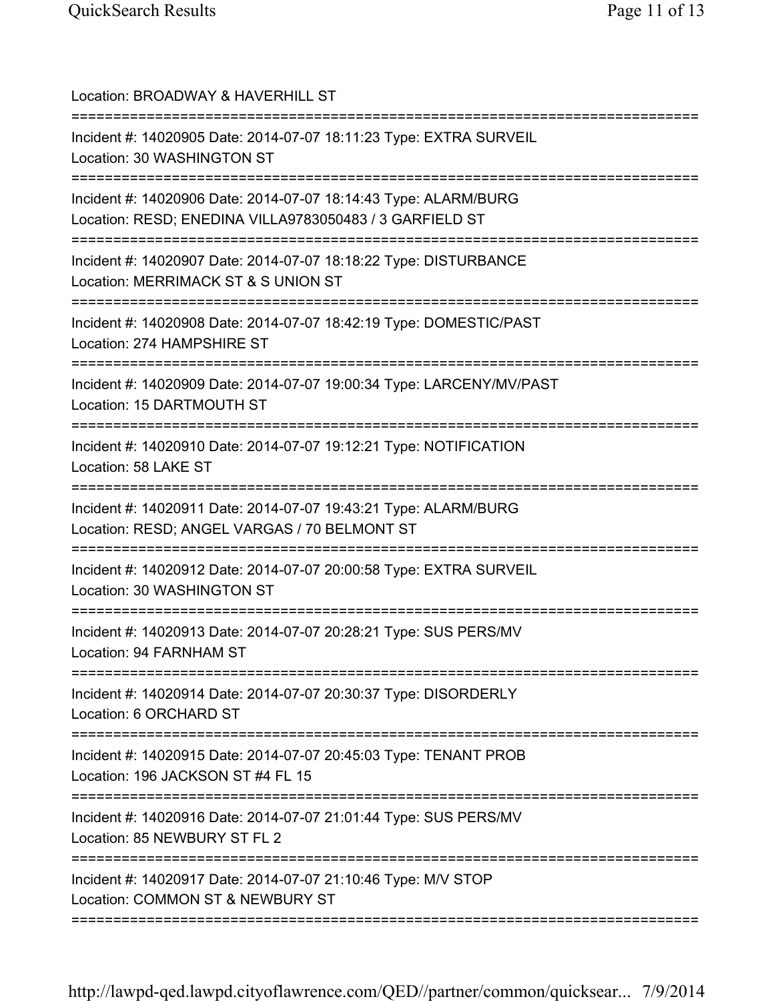| Location: BROADWAY & HAVERHILL ST                                                                                                       |
|-----------------------------------------------------------------------------------------------------------------------------------------|
| Incident #: 14020905 Date: 2014-07-07 18:11:23 Type: EXTRA SURVEIL<br>Location: 30 WASHINGTON ST                                        |
| Incident #: 14020906 Date: 2014-07-07 18:14:43 Type: ALARM/BURG<br>Location: RESD; ENEDINA VILLA9783050483 / 3 GARFIELD ST              |
| Incident #: 14020907 Date: 2014-07-07 18:18:22 Type: DISTURBANCE<br>Location: MERRIMACK ST & S UNION ST<br>===========================  |
| Incident #: 14020908 Date: 2014-07-07 18:42:19 Type: DOMESTIC/PAST<br>Location: 274 HAMPSHIRE ST                                        |
| Incident #: 14020909 Date: 2014-07-07 19:00:34 Type: LARCENY/MV/PAST<br>Location: 15 DARTMOUTH ST                                       |
| Incident #: 14020910 Date: 2014-07-07 19:12:21 Type: NOTIFICATION<br>Location: 58 LAKE ST                                               |
| ====================<br>Incident #: 14020911 Date: 2014-07-07 19:43:21 Type: ALARM/BURG<br>Location: RESD; ANGEL VARGAS / 70 BELMONT ST |
| Incident #: 14020912 Date: 2014-07-07 20:00:58 Type: EXTRA SURVEIL<br>Location: 30 WASHINGTON ST                                        |
| Incident #: 14020913 Date: 2014-07-07 20:28:21 Type: SUS PERS/MV<br>Location: 94 FARNHAM ST                                             |
| Incident #: 14020914 Date: 2014-07-07 20:30:37 Type: DISORDERLY<br>Location: 6 ORCHARD ST                                               |
| Incident #: 14020915 Date: 2014-07-07 20:45:03 Type: TENANT PROB<br>Location: 196 JACKSON ST #4 FL 15                                   |
| Incident #: 14020916 Date: 2014-07-07 21:01:44 Type: SUS PERS/MV<br>Location: 85 NEWBURY ST FL 2                                        |
| Incident #: 14020917 Date: 2014-07-07 21:10:46 Type: M/V STOP<br>Location: COMMON ST & NEWBURY ST                                       |
|                                                                                                                                         |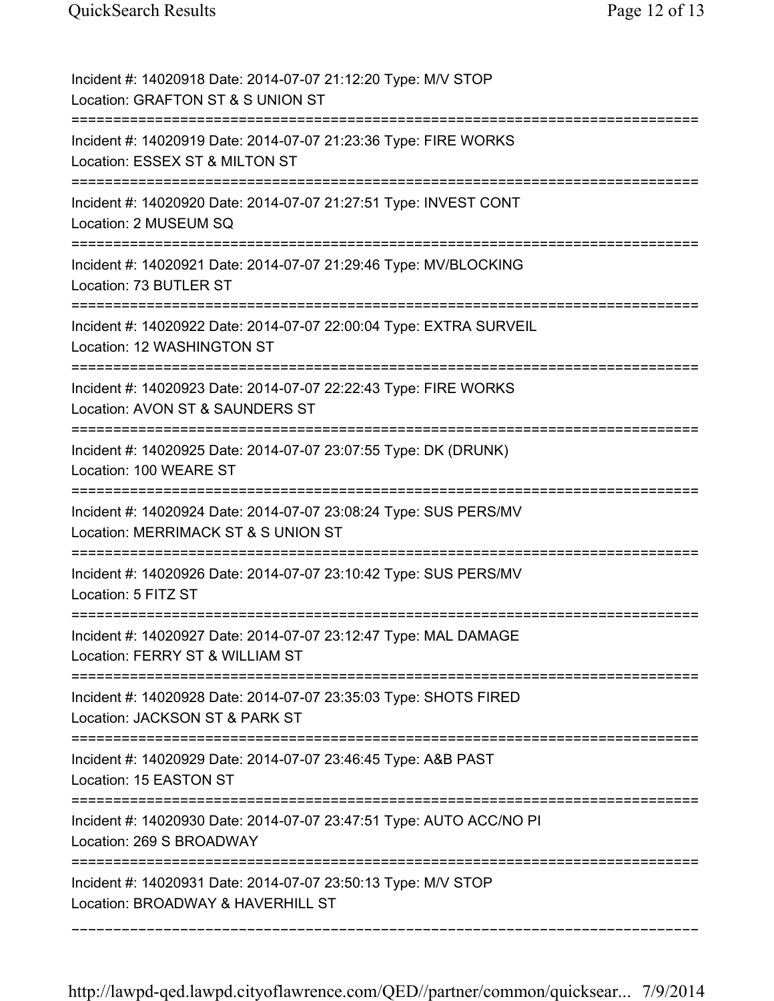| Incident #: 14020918 Date: 2014-07-07 21:12:20 Type: M/V STOP<br>Location: GRAFTON ST & S UNION ST                             |
|--------------------------------------------------------------------------------------------------------------------------------|
| Incident #: 14020919 Date: 2014-07-07 21:23:36 Type: FIRE WORKS<br>Location: ESSEX ST & MILTON ST                              |
| Incident #: 14020920 Date: 2014-07-07 21:27:51 Type: INVEST CONT<br>Location: 2 MUSEUM SQ                                      |
| Incident #: 14020921 Date: 2014-07-07 21:29:46 Type: MV/BLOCKING<br>Location: 73 BUTLER ST                                     |
| Incident #: 14020922 Date: 2014-07-07 22:00:04 Type: EXTRA SURVEIL<br>Location: 12 WASHINGTON ST<br>======================     |
| Incident #: 14020923 Date: 2014-07-07 22:22:43 Type: FIRE WORKS<br>Location: AVON ST & SAUNDERS ST                             |
| Incident #: 14020925 Date: 2014-07-07 23:07:55 Type: DK (DRUNK)<br>Location: 100 WEARE ST<br>================================= |
| Incident #: 14020924 Date: 2014-07-07 23:08:24 Type: SUS PERS/MV<br>Location: MERRIMACK ST & S UNION ST                        |
| Incident #: 14020926 Date: 2014-07-07 23:10:42 Type: SUS PERS/MV<br>Location: 5 FITZ ST                                        |
| Incident #: 14020927 Date: 2014-07-07 23:12:47 Type: MAL DAMAGE<br>Location: FERRY ST & WILLIAM ST                             |
| Incident #: 14020928 Date: 2014-07-07 23:35:03 Type: SHOTS FIRED<br>Location: JACKSON ST & PARK ST                             |
| Incident #: 14020929 Date: 2014-07-07 23:46:45 Type: A&B PAST<br>Location: 15 EASTON ST                                        |
| Incident #: 14020930 Date: 2014-07-07 23:47:51 Type: AUTO ACC/NO PI<br>Location: 269 S BROADWAY                                |
| Incident #: 14020931 Date: 2014-07-07 23:50:13 Type: M/V STOP<br>Location: BROADWAY & HAVERHILL ST                             |
|                                                                                                                                |